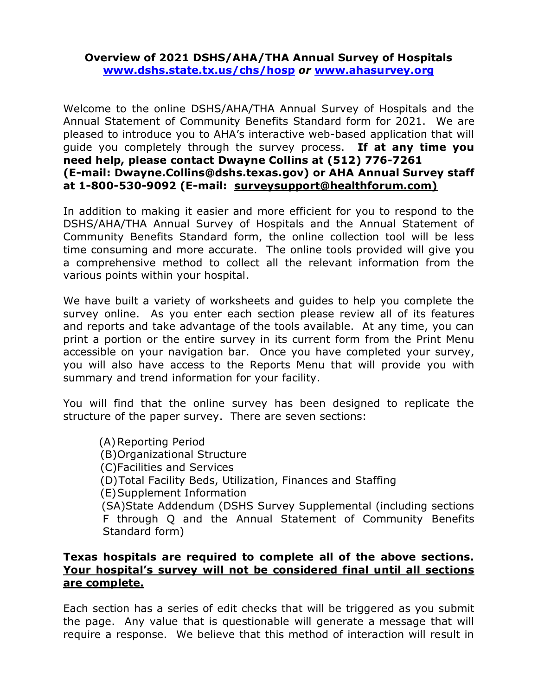## **Overview of 2021 DSHS/AHA/THA Annual Survey of Hospitals [www.dshs.state.tx.us/chs/hosp](http://www.dshs.state.tx.us/chs/hosp)** *or* **[www.ahasurvey.org](http://www.ahasurvey.org/)**

Welcome to the online DSHS/AHA/THA Annual Survey of Hospitals and the Annual Statement of Community Benefits Standard form for 2021. We are pleased to introduce you to AHA's interactive web-based application that will guide you completely through the survey process. **If at any time you need help, please contact Dwayne Collins at (512) 776-7261 (E-mail: Dwayne.Collins@dshs.texas.gov) or AHA Annual Survey staff at 1-800-530-9092 (E-mail: surveysupport@healthforum.com)**

In addition to making it easier and more efficient for you to respond to the DSHS/AHA/THA Annual Survey of Hospitals and the Annual Statement of Community Benefits Standard form, the online collection tool will be less time consuming and more accurate. The online tools provided will give you a comprehensive method to collect all the relevant information from the various points within your hospital.

We have built a variety of worksheets and guides to help you complete the survey online. As you enter each section please review all of its features and reports and take advantage of the tools available. At any time, you can print a portion or the entire survey in its current form from the Print Menu accessible on your navigation bar. Once you have completed your survey, you will also have access to the Reports Menu that will provide you with summary and trend information for your facility.

You will find that the online survey has been designed to replicate the structure of the paper survey. There are seven sections:

(A)Reporting Period (B)Organizational Structure (C)Facilities and Services (D)Total Facility Beds, Utilization, Finances and Staffing (E)Supplement Information (SA)State Addendum (DSHS Survey Supplemental (including sections F through Q and the Annual Statement of Community Benefits Standard form)

## **Texas hospitals are required to complete all of the above sections. Your hospital's survey will not be considered final until all sections are complete.**

Each section has a series of edit checks that will be triggered as you submit the page. Any value that is questionable will generate a message that will require a response. We believe that this method of interaction will result in